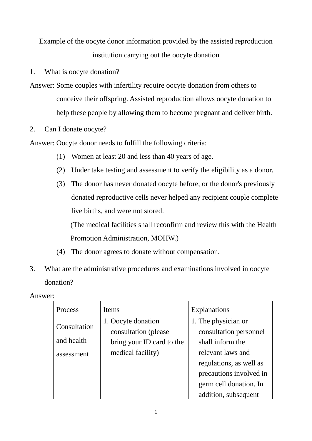Example of the oocyte donor information provided by the assisted reproduction institution carrying out the oocyte donation

- 1. What is oocyte donation?
- Answer: Some couples with infertility require oocyte donation from others to conceive their offspring. Assisted reproduction allows oocyte donation to help these people by allowing them to become pregnant and deliver birth.
- 2. Can I donate oocyte?

Answer: Oocyte donor needs to fulfill the following criteria:

- (1) Women at least 20 and less than 40 years of age.
- (2) Under take testing and assessment to verify the eligibility as a donor.
- (3) The donor has never donated oocyte before, or the donor's previously donated reproductive cells never helped any recipient couple complete live births, and were not stored.

(The medical facilities shall reconfirm and review this with the Health Promotion Administration, MOHW.)

- (4) The donor agrees to donate without compensation.
- 3. What are the administrative procedures and examinations involved in oocyte donation?

Answer:

| Process      | <b>Items</b>              | <b>Explanations</b>     |
|--------------|---------------------------|-------------------------|
| Consultation | 1. Oocyte donation        | 1. The physician or     |
|              | consultation (please)     | consultation personnel  |
| and health   | bring your ID card to the | shall inform the        |
| assessment   | medical facility)         | relevant laws and       |
|              |                           | regulations, as well as |
|              |                           | precautions involved in |
|              |                           | germ cell donation. In  |
|              |                           | addition, subsequent    |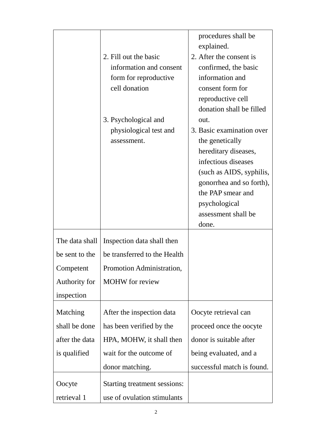|                |                              | procedures shall be<br>explained.             |
|----------------|------------------------------|-----------------------------------------------|
|                | 2. Fill out the basic        | 2. After the consent is                       |
|                | information and consent      | confirmed, the basic                          |
|                | form for reproductive        | information and                               |
|                | cell donation                | consent form for                              |
|                |                              | reproductive cell                             |
|                |                              | donation shall be filled                      |
|                | 3. Psychological and         | out.                                          |
|                | physiological test and       | 3. Basic examination over                     |
|                | assessment.                  | the genetically                               |
|                |                              | hereditary diseases,                          |
|                |                              | infectious diseases                           |
|                |                              | (such as AIDS, syphilis,                      |
|                |                              | gonorrhea and so forth),<br>the PAP smear and |
|                |                              | psychological                                 |
|                |                              | assessment shall be                           |
|                |                              | done.                                         |
|                |                              |                                               |
| The data shall | Inspection data shall then   |                                               |
| be sent to the | be transferred to the Health |                                               |
| Competent      | Promotion Administration,    |                                               |
| Authority for  | <b>MOHW</b> for review       |                                               |
| inspection     |                              |                                               |
| Matching       | After the inspection data    | Oocyte retrieval can                          |
| shall be done  | has been verified by the     | proceed once the oocyte                       |
| after the data | HPA, MOHW, it shall then     | donor is suitable after                       |
| is qualified   | wait for the outcome of      | being evaluated, and a                        |
|                | donor matching.              | successful match is found.                    |
| Oocyte         | Starting treatment sessions: |                                               |
| retrieval 1    | use of ovulation stimulants  |                                               |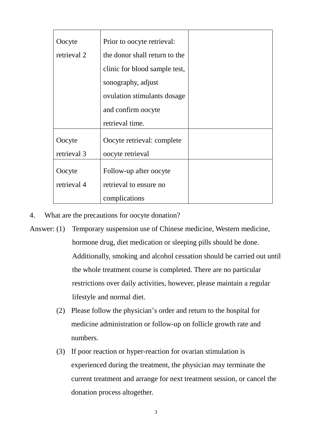| Oocyte      | Prior to oocyte retrieval:    |  |
|-------------|-------------------------------|--|
| retrieval 2 | the donor shall return to the |  |
|             | clinic for blood sample test, |  |
|             | sonography, adjust            |  |
|             | ovulation stimulants dosage   |  |
|             | and confirm oocyte            |  |
|             | retrieval time.               |  |
| Oocyte      | Oocyte retrieval: complete    |  |
| retrieval 3 | oocyte retrieval              |  |
| Oocyte      | Follow-up after oocyte        |  |
| retrieval 4 | retrieval to ensure no        |  |
|             | complications                 |  |

- 4. What are the precautions for oocyte donation?
- Answer: (1) Temporary suspension use of Chinese medicine, Western medicine, hormone drug, diet medication or sleeping pills should be done. Additionally, smoking and alcohol cessation should be carried out until the whole treatment course is completed. There are no particular restrictions over daily activities, however, please maintain a regular lifestyle and normal diet.
	- (2) Please follow the physician's order and return to the hospital for medicine administration or follow-up on follicle growth rate and numbers.
	- (3) If poor reaction or hyper-reaction for ovarian stimulation is experienced during the treatment, the physician may terminate the current treatment and arrange for next treatment session, or cancel the donation process altogether.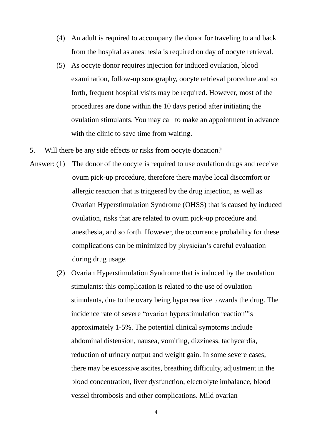- (4) An adult is required to accompany the donor for traveling to and back from the hospital as anesthesia is required on day of oocyte retrieval.
- (5) As oocyte donor requires injection for induced ovulation, blood examination, follow-up sonography, oocyte retrieval procedure and so forth, frequent hospital visits may be required. However, most of the procedures are done within the 10 days period after initiating the ovulation stimulants. You may call to make an appointment in advance with the clinic to save time from waiting.
- 5. Will there be any side effects or risks from oocyte donation?
- Answer: (1) The donor of the oocyte is required to use ovulation drugs and receive ovum pick-up procedure, therefore there maybe local discomfort or allergic reaction that is triggered by the drug injection, as well as Ovarian Hyperstimulation Syndrome (OHSS) that is caused by induced ovulation, risks that are related to ovum pick-up procedure and anesthesia, and so forth. However, the occurrence probability for these complications can be minimized by physician's careful evaluation during drug usage.
	- (2) Ovarian Hyperstimulation Syndrome that is induced by the ovulation stimulants: this complication is related to the use of ovulation stimulants, due to the ovary being hyperreactive towards the drug. The incidence rate of severe "ovarian hyperstimulation reaction"is approximately 1-5%. The potential clinical symptoms include abdominal distension, nausea, vomiting, dizziness, tachycardia, reduction of urinary output and weight gain. In some severe cases, there may be excessive ascites, breathing difficulty, adjustment in the blood concentration, liver dysfunction, electrolyte imbalance, blood vessel thrombosis and other complications. Mild ovarian

4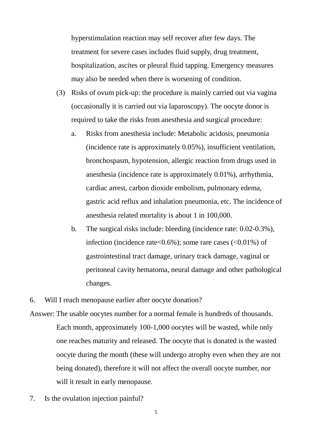hyperstimulation reaction may self recover after few days. The treatment for severe cases includes fluid supply, drug treatment, hospitalization, ascites or pleural fluid tapping. Emergency measures may also be needed when there is worsening of condition.

- (3) Risks of ovum pick-up: the procedure is mainly carried out via vagina (occasionally it is carried out via laparoscopy). The oocyte donor is required to take the risks from anesthesia and surgical procedure:
	- a. Risks from anesthesia include: Metabolic acidosis, pneumonia (incidence rate is approximately 0.05%), insufficient ventilation, bronchospasm, hypotension, allergic reaction from drugs used in anesthesia (incidence rate is approximately 0.01%), arrhythmia, cardiac arrest, carbon dioxide embolism, pulmonary edema, gastric acid reflux and inhalation pneumonia, etc. The incidence of anesthesia related mortality is about 1 in 100,000.
	- b. The surgical risks include: bleeding (incidence rate: 0.02-0.3%), infection (incidence rate $<0.6\%$ ); some rare cases ( $<0.01\%$ ) of gastrointestinal tract damage, urinary track damage, vaginal or peritoneal cavity hematoma, neural damage and other pathological changes.

6. Will I reach menopause earlier after oocyte donation?

- Answer: The usable oocytes number for a normal female is hundreds of thousands. Each month, approximately 100-1,000 oocytes will be wasted, while only one reaches maturity and released. The oocyte that is donated is the wasted oocyte during the month (these will undergo atrophy even when they are not being donated), therefore it will not affect the overall oocyte number, nor will it result in early menopause.
- 7. Is the ovulation injection painful?

5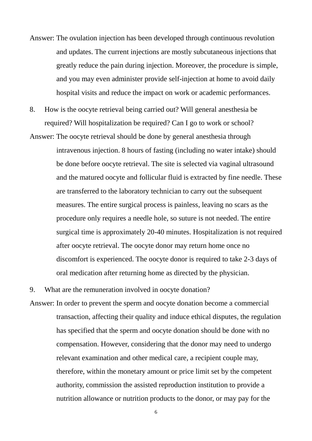Answer: The ovulation injection has been developed through continuous revolution and updates. The current injections are mostly subcutaneous injections that greatly reduce the pain during injection. Moreover, the procedure is simple, and you may even administer provide self-injection at home to avoid daily hospital visits and reduce the impact on work or academic performances.

8. How is the oocyte retrieval being carried out? Will general anesthesia be required? Will hospitalization be required? Can I go to work or school?

Answer: The oocyte retrieval should be done by general anesthesia through intravenous injection. 8 hours of fasting (including no water intake) should be done before oocyte retrieval. The site is selected via vaginal ultrasound and the matured oocyte and follicular fluid is extracted by fine needle. These are transferred to the laboratory technician to carry out the subsequent measures. The entire surgical process is painless, leaving no scars as the procedure only requires a needle hole, so suture is not needed. The entire surgical time is approximately 20-40 minutes. Hospitalization is not required after oocyte retrieval. The oocyte donor may return home once no discomfort is experienced. The oocyte donor is required to take 2-3 days of oral medication after returning home as directed by the physician.

9. What are the remuneration involved in oocyte donation?

Answer: In order to prevent the sperm and oocyte donation become a commercial transaction, affecting their quality and induce ethical disputes, the regulation has specified that the sperm and oocyte donation should be done with no compensation. However, considering that the donor may need to undergo relevant examination and other medical care, a recipient couple may, therefore, within the monetary amount or price limit set by the competent authority, commission the assisted reproduction institution to provide a nutrition allowance or nutrition products to the donor, or may pay for the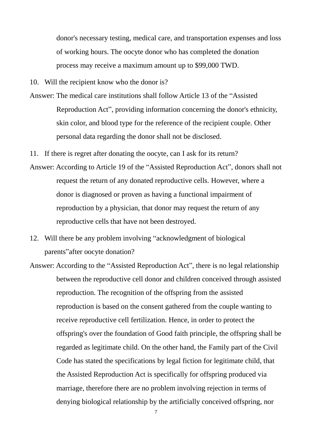donor's necessary testing, medical care, and transportation expenses and loss of working hours. The oocyte donor who has completed the donation process may receive a maximum amount up to \$99,000 TWD.

10. Will the recipient know who the donor is?

Answer: The medical care institutions shall follow Article 13 of the "Assisted Reproduction Act", providing information concerning the donor's ethnicity, skin color, and blood type for the reference of the recipient couple. Other personal data regarding the donor shall not be disclosed.

11. If there is regret after donating the oocyte, can I ask for its return?

- Answer: According to Article 19 of the "Assisted Reproduction Act", donors shall not request the return of any donated reproductive cells. However, where a donor is diagnosed or proven as having a functional impairment of reproduction by a physician, that donor may request the return of any reproductive cells that have not been destroyed.
- 12. Will there be any problem involving "acknowledgment of biological parents"after oocyte donation?
- Answer: According to the "Assisted Reproduction Act", there is no legal relationship between the reproductive cell donor and children conceived through assisted reproduction. The recognition of the offspring from the assisted reproduction is based on the consent gathered from the couple wanting to receive reproductive cell fertilization. Hence, in order to protect the offspring's over the foundation of Good faith principle, the offspring shall be regarded as legitimate child. On the other hand, the Family part of the Civil Code has stated the specifications by legal fiction for legitimate child, that the Assisted Reproduction Act is specifically for offspring produced via marriage, therefore there are no problem involving rejection in terms of denying biological relationship by the artificially conceived offspring, nor

7